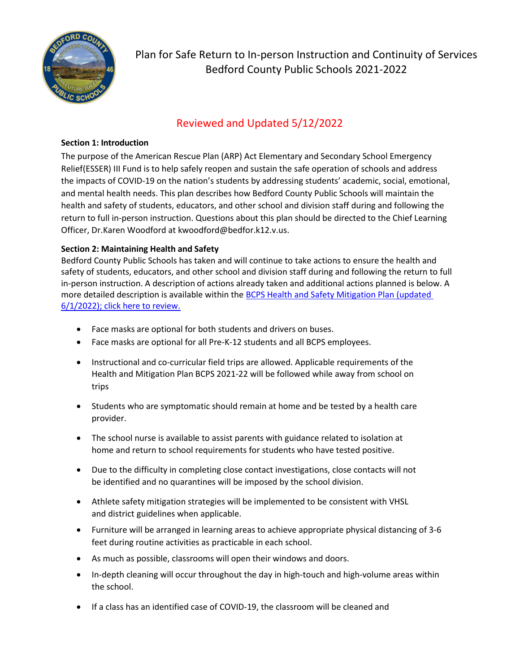

Plan for Safe Return to In-person Instruction and Continuity of Services Bedford County Public Schools 2021-2022

## Reviewed and Updated 5/12/2022

## **Section 1: Introduction**

The purpose of the American Rescue Plan (ARP) Act Elementary and Secondary School Emergency Relief(ESSER) III Fund is to help safely reopen and sustain the safe operation of schools and address the impacts of COVID-19 on the nation's students by addressing students' academic, social, emotional, and mental health needs. This plan describes how Bedford County Public Schools will maintain the health and safety of students, educators, and other school and division staff during and following the return to full in-person instruction. Questions about this plan should be directed to the Chief Learning Officer, Dr.Karen Woodford a[t kwoodford@bedfor.k12.v.us.](mailto:kwoodford@bedfor.k12.v.us)

## **Section 2: Maintaining Health and Safety**

Bedford County Public Schools has taken and will continue to take actions to ensure the health and safety of students, educators, and other school and division staff during and following the return to full in-person instruction. A description of actions already taken and additional actions planned is below. A more detailed description is available within the [BCPS Health and Safety Mitigation Plan \(updated](https://p2cdn4static.sharpschool.com/UserFiles/Servers/Server_1057178/File/Parents_Students/COVID-19_Information/BCPS_Health_%20and_Safety_Mitigation_Plan_2021-2022_(Revised_1_24_22).pdf) [6/1/2022\); click here to review.](https://p2cdn4static.sharpschool.com/UserFiles/Servers/Server_1057178/File/Parents_Students/COVID-19_Information/BCPS_Health_%20and_Safety_Mitigation_Plan_2021-2022_(Revised_1_24_22).pdf)

- Face masks are optional for both students and drivers on buses.
- Face masks are optional for all Pre-K-12 students and all BCPS employees.
- Instructional and co-curricular field trips are allowed. Applicable requirements of the Health and Mitigation Plan BCPS 2021-22 will be followed while away from school on trips
- Students who are symptomatic should remain at home and be tested by a health care provider.
- The school nurse is available to assist parents with guidance related to isolation at home and return to school requirements for students who have tested positive.
- Due to the difficulty in completing close contact investigations, close contacts will not be identified and no quarantines will be imposed by the school division.
- Athlete safety mitigation strategies will be implemented to be consistent with VHSL and district guidelines when applicable.
- Furniture will be arranged in learning areas to achieve appropriate physical distancing of 3-6 feet during routine activities as practicable in each school.
- As much as possible, classrooms will open their windows and doors.
- In-depth cleaning will occur throughout the day in high-touch and high-volume areas within the school.
- If a class has an identified case of COVID-19, the classroom will be cleaned and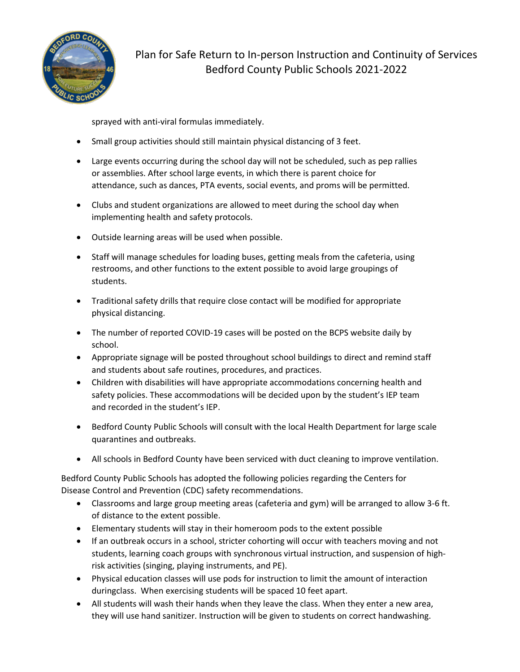

sprayed with anti-viral formulas immediately.

- Small group activities should still maintain physical distancing of 3 feet.
- Large events occurring during the school day will not be scheduled, such as pep rallies or assemblies. After school large events, in which there is parent choice for attendance, such as dances, PTA events, social events, and proms will be permitted.
- Clubs and student organizations are allowed to meet during the school day when implementing health and safety protocols.
- Outside learning areas will be used when possible.
- Staff will manage schedules for loading buses, getting meals from the cafeteria, using restrooms, and other functions to the extent possible to avoid large groupings of students.
- Traditional safety drills that require close contact will be modified for appropriate physical distancing.
- The number of reported COVID-19 cases will be posted on the BCPS website daily by school.
- Appropriate signage will be posted throughout school buildings to direct and remind staff and students about safe routines, procedures, and practices.
- Children with disabilities will have appropriate accommodations concerning health and safety policies. These accommodations will be decided upon by the student's IEP team and recorded in the student's IEP.
- Bedford County Public Schools will consult with the local Health Department for large scale quarantines and outbreaks.
- All schools in Bedford County have been serviced with duct cleaning to improve ventilation.

Bedford County Public Schools has adopted the following policies regarding the Centers for Disease Control and Prevention (CDC) safety recommendations.

- Classrooms and large group meeting areas (cafeteria and gym) will be arranged to allow 3-6 ft. of distance to the extent possible.
- Elementary students will stay in their homeroom pods to the extent possible
- If an outbreak occurs in a school, stricter cohorting will occur with teachers moving and not students, learning coach groups with synchronous virtual instruction, and suspension of highrisk activities (singing, playing instruments, and PE).
- Physical education classes will use pods for instruction to limit the amount of interaction duringclass. When exercising students will be spaced 10 feet apart.
- All students will wash their hands when they leave the class. When they enter a new area, they will use hand sanitizer. Instruction will be given to students on correct handwashing.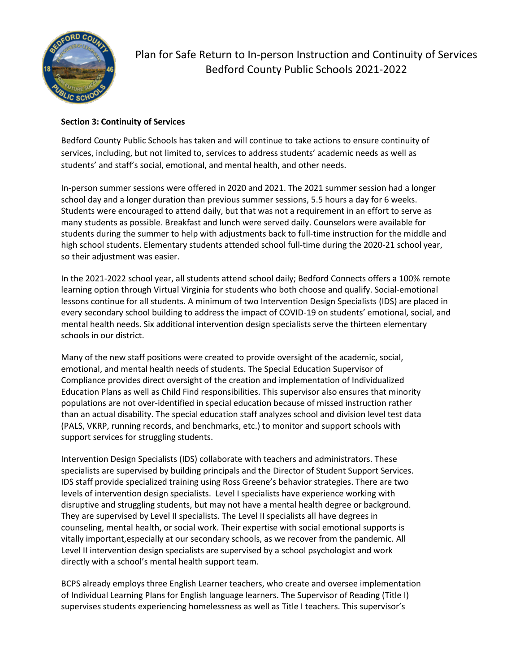

Plan for Safe Return to In-person Instruction and Continuity of Services Bedford County Public Schools 2021-2022

### **Section 3: Continuity of Services**

Bedford County Public Schools has taken and will continue to take actions to ensure continuity of services, including, but not limited to, services to address students' academic needs as well as students' and staff's social, emotional, and mental health, and other needs.

In-person summer sessions were offered in 2020 and 2021. The 2021 summer session had a longer school day and a longer duration than previous summer sessions, 5.5 hours a day for 6 weeks. Students were encouraged to attend daily, but that was not a requirement in an effort to serve as many students as possible. Breakfast and lunch were served daily. Counselors were available for students during the summer to help with adjustments back to full-time instruction for the middle and high school students. Elementary students attended school full-time during the 2020-21 school year, so their adjustment was easier.

In the 2021-2022 school year, all students attend school daily; Bedford Connects offers a 100% remote learning option through Virtual Virginia for students who both choose and qualify. Social-emotional lessons continue for all students. A minimum of two Intervention Design Specialists (IDS) are placed in every secondary school building to address the impact of COVID-19 on students' emotional, social, and mental health needs. Six additional intervention design specialists serve the thirteen elementary schools in our district.

Many of the new staff positions were created to provide oversight of the academic, social, emotional, and mental health needs of students. The Special Education Supervisor of Compliance provides direct oversight of the creation and implementation of Individualized Education Plans as well as Child Find responsibilities. This supervisor also ensures that minority populations are not over-identified in special education because of missed instruction rather than an actual disability. The special education staff analyzes school and division level test data (PALS, VKRP, running records, and benchmarks, etc.) to monitor and support schools with support services for struggling students.

Intervention Design Specialists (IDS) collaborate with teachers and administrators. These specialists are supervised by building principals and the Director of Student Support Services. IDS staff provide specialized training using Ross Greene's behavior strategies. There are two levels of intervention design specialists. Level I specialists have experience working with disruptive and struggling students, but may not have a mental health degree or background. They are supervised by Level II specialists. The Level II specialists all have degrees in counseling, mental health, or social work. Their expertise with social emotional supports is vitally important,especially at our secondary schools, as we recover from the pandemic. All Level II intervention design specialists are supervised by a school psychologist and work directly with a school's mental health support team.

BCPS already employs three English Learner teachers, who create and oversee implementation of Individual Learning Plans for English language learners. The Supervisor of Reading (Title I) supervises students experiencing homelessness as well as Title I teachers. This supervisor's